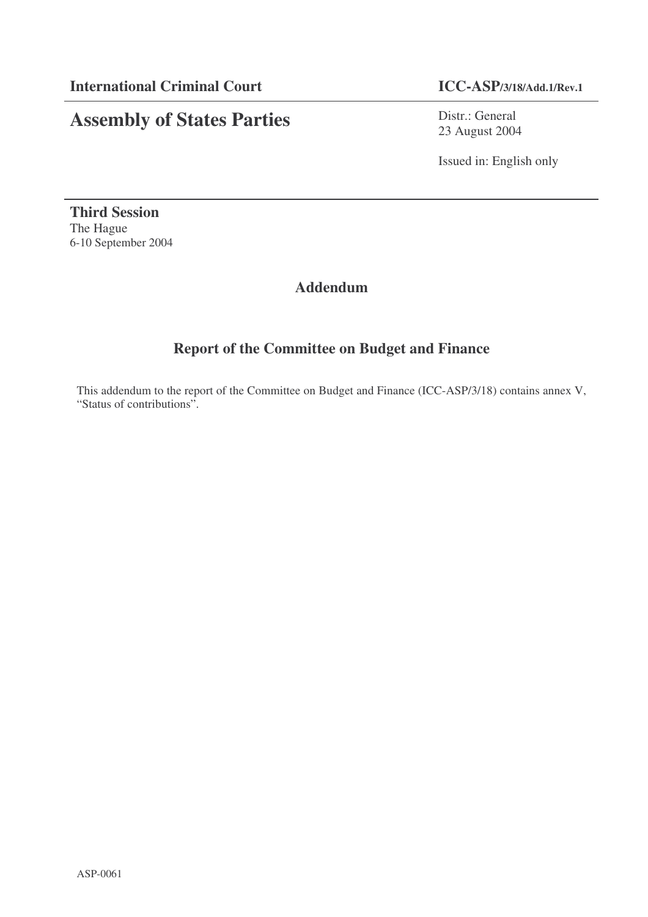# **Assembly of States Parties**

Distr.: General 23 August 2004

Issued in: English only

**Third Session** The Hague 6-10 September 2004

# **Addendum**

# **Report of the Committee on Budget and Finance**

This addendum to the report of the Committee on Budget and Finance (ICC-ASP/3/18) contains annex V, "Status of contributions".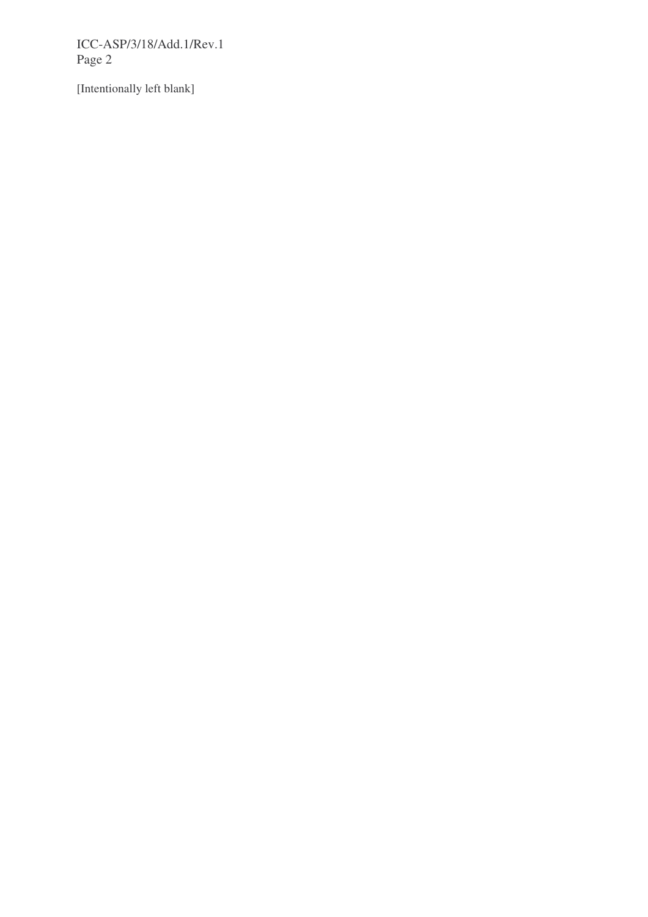ICC-ASP/3/18/Add.1/Rev.1 Page 2

[Intentionally left blank]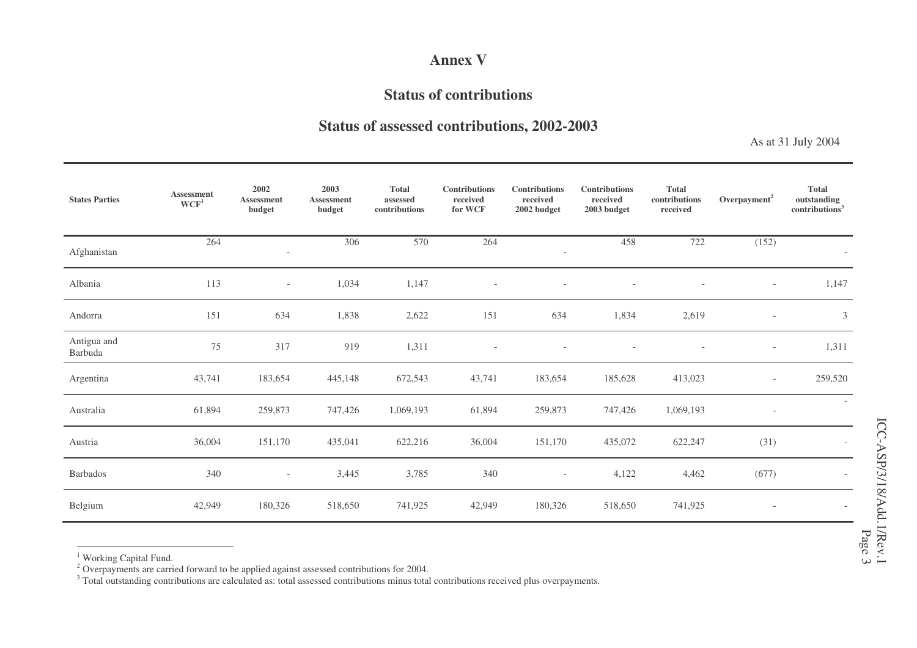### **Annex V**

#### **Status of contributions**

#### **Status of assessed contributions, 2002-2003**

As at 31 July 2004

| <b>States Parties</b>  | Assessment<br>$\mathbf{W}\mathbf{C}\mathbf{F}^1$ | 2002<br>Assessment<br>budget | 2003<br>Assessment<br>budget | <b>Total</b><br>assessed<br>contributions | <b>Contributions</b><br>received<br>for WCF | <b>Contributions</b><br>received<br>2002 budget | <b>Contributions</b><br>received<br>2003 budget | <b>Total</b><br>contributions<br>received | Overpayment <sup>2</sup> | Total<br>outstanding<br>contributions <sup>3</sup> |
|------------------------|--------------------------------------------------|------------------------------|------------------------------|-------------------------------------------|---------------------------------------------|-------------------------------------------------|-------------------------------------------------|-------------------------------------------|--------------------------|----------------------------------------------------|
| Afghanistan            | 264                                              |                              | 306                          | 570                                       | 264                                         |                                                 | 458                                             | 722                                       | (152)                    | $\overline{\phantom{a}}$                           |
| Albania                | 113                                              | $\overline{\phantom{a}}$     | 1,034                        | 1,147                                     |                                             |                                                 |                                                 | $\overline{a}$                            | $\overline{\phantom{a}}$ | 1,147                                              |
| Andorra                | 151                                              | 634                          | 1,838                        | 2,622                                     | 151                                         | 634                                             | 1,834                                           | 2,619                                     |                          | 3                                                  |
| Antigua and<br>Barbuda | 75                                               | 317                          | 919                          | 1,311                                     |                                             |                                                 |                                                 |                                           | $\overline{\phantom{a}}$ | 1,311                                              |
| Argentina              | 43,741                                           | 183,654                      | 445,148                      | 672,543                                   | 43,741                                      | 183,654                                         | 185,628                                         | 413,023                                   | $\overline{\phantom{a}}$ | 259,520                                            |
| Australia              | 61,894                                           | 259,873                      | 747,426                      | 1,069,193                                 | 61,894                                      | 259,873                                         | 747,426                                         | 1,069,193                                 | $\overline{\phantom{a}}$ |                                                    |
| Austria                | 36,004                                           | 151,170                      | 435,041                      | 622,216                                   | 36,004                                      | 151,170                                         | 435,072                                         | 622,247                                   | (31)                     | $\overline{\phantom{a}}$                           |
| <b>Barbados</b>        | 340                                              | $\overline{\phantom{a}}$     | 3,445                        | 3,785                                     | 340                                         | $\overline{\phantom{a}}$                        | 4,122                                           | 4,462                                     | (677)                    | $\overline{\phantom{a}}$                           |
| Belgium                | 42,949                                           | 180,326                      | 518,650                      | 741,925                                   | 42,949                                      | 180,326                                         | 518,650                                         | 741,925                                   |                          |                                                    |

<sup>&</sup>lt;sup>1</sup> Working Capital Fund.<br><sup>2</sup> Overpayments are carried forward to be applied against assessed contributions for 2004.<br><sup>3</sup> Total outstanding contributions are calculated as: total assessed contributions minus total contribu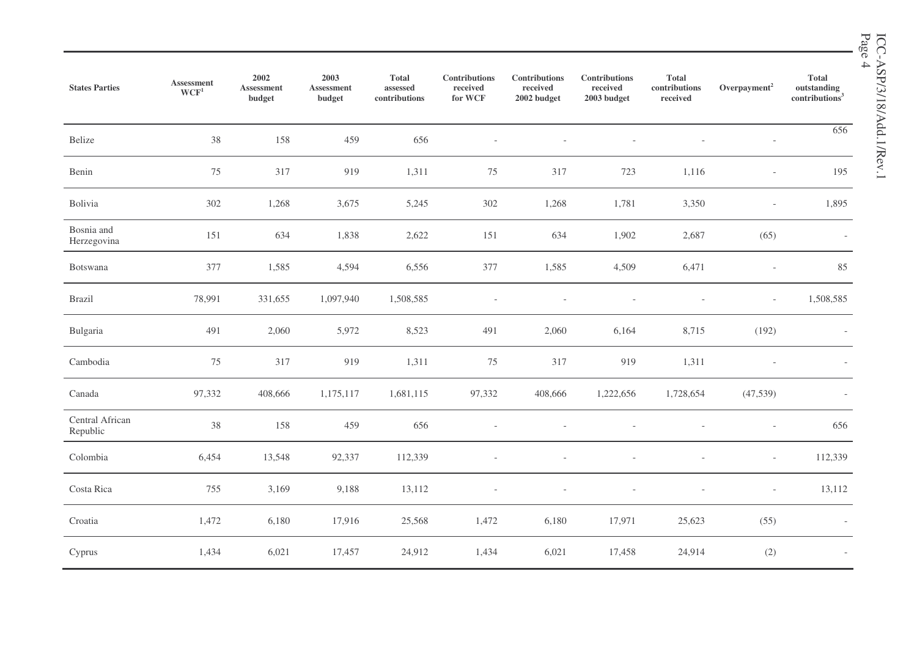**States** Parties Assessment 2002 2003 Total Contributions Contributions Total Total Total Total<br>Back assessment Assessment Assessment assessed received received received received contributions Overpayment<sup>2</sup> outstanding<br>Back budget budget Belizee 38 8 158 459 656 - - - - - - - - - -656 Benin 75 317 919 1,311 75 317 723 1,116 - 195 Bolivia 302 1,268 3,675 5,245 302 1,268 1,781 3,350 - 1,895 Bosnia and Herzegovina <sup>151</sup> <sup>634</sup> 1,838 2,622 <sup>151</sup> <sup>634</sup> 1,902 2,687 (65) - Botswana 377 1,585 4,594 6,556 377 1,585 4,509 6,471 - 85 Brazil 78,991 331,655 1,097,940 1,508,585 - - - - - 1,508,585 Bulgaria 491 2,060 5,972 8,523 491 2,060 6,164 8,715 (192) - Cambodia 75 317 919 1,311 75 317 919 1,311 - - Canada 97,332 408,666 1,175,117 1,681,115 97,332 408,666 1,222,656 1,728,654 (47,539) - Central African Republic <sup>38</sup> <sup>158</sup> <sup>459</sup> <sup>656</sup> - - - - - <sup>656</sup> Colombia 6,454 13,548 92,337 112,339 - - - - - 112,339 Costa Rica 7555 3,169 9,188 13,112 - - - - - - - - - 13,112 Croatia1,472 6,180 17,916 25,568 1,472 6,180 17,971 25,623 (55) and the contract of the contract of the contract of t Cyprus 1,434 6,021 17,457 24,912 1,434 6,021 17,458 24,914 (2) -

ICC-ASP/3/18/Add.1/Rev.1 Page  $\rightarrow$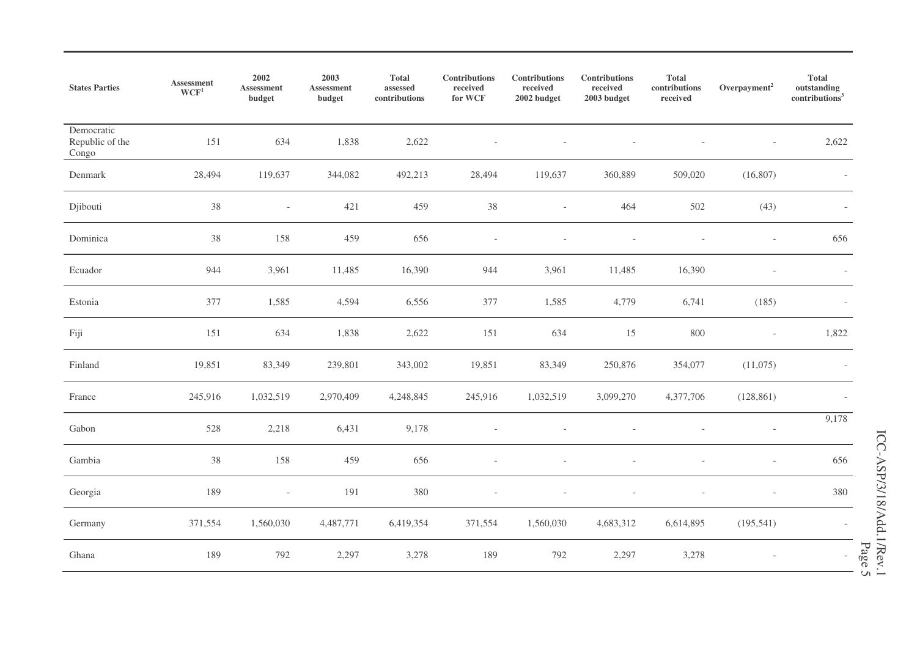| <b>States Parties</b>                  | Assessment<br>$\mathbf{WCF}^1$ | 2002<br><b>Assessment</b><br>budget | 2003<br><b>Assessment</b><br>budget | <b>Total</b><br>assessed<br>contributions | Contributions<br>received<br>for WCF | Contributions<br>received<br>2002 budget | <b>Contributions</b><br>received<br>2003 budget | <b>Total</b><br>contributions<br>received | Overpayment <sup>2</sup> | <b>Total</b><br>outstanding<br>contributions <sup>3</sup> |
|----------------------------------------|--------------------------------|-------------------------------------|-------------------------------------|-------------------------------------------|--------------------------------------|------------------------------------------|-------------------------------------------------|-------------------------------------------|--------------------------|-----------------------------------------------------------|
| Democratic<br>Republic of the<br>Congo | 151                            | 634                                 | 1,838                               | 2,622                                     |                                      |                                          |                                                 |                                           |                          | 2,622                                                     |
| Denmark                                | 28,494                         | 119,637                             | 344,082                             | 492,213                                   | 28,494                               | 119,637                                  | 360,889                                         | 509,020                                   | (16, 807)                |                                                           |
| Djibouti                               | 38                             | $\overline{\phantom{a}}$            | 421                                 | 459                                       | 38                                   | $\overline{a}$                           | 464                                             | 502                                       | (43)                     |                                                           |
| Dominica                               | 38                             | 158                                 | 459                                 | 656                                       | $\overline{a}$                       |                                          |                                                 |                                           | $\overline{\phantom{a}}$ | 656                                                       |
| Ecuador                                | 944                            | 3,961                               | 11,485                              | 16,390                                    | 944                                  | 3,961                                    | 11,485                                          | 16,390                                    |                          |                                                           |
| Estonia                                | 377                            | 1,585                               | 4,594                               | 6,556                                     | 377                                  | 1,585                                    | 4,779                                           | 6,741                                     | (185)                    |                                                           |
| Fiji                                   | 151                            | 634                                 | 1,838                               | 2,622                                     | 151                                  | 634                                      | 15                                              | $800\,$                                   | $\overline{\phantom{a}}$ | 1,822                                                     |
| Finland                                | 19,851                         | 83,349                              | 239,801                             | 343,002                                   | 19,851                               | 83,349                                   | 250,876                                         | 354,077                                   | (11,075)                 |                                                           |
| France                                 | 245,916                        | 1,032,519                           | 2,970,409                           | 4,248,845                                 | 245,916                              | 1,032,519                                | 3,099,270                                       | 4,377,706                                 | (128, 861)               |                                                           |
| Gabon                                  | 528                            | 2,218                               | 6,431                               | 9,178                                     |                                      |                                          |                                                 |                                           |                          | 9,178                                                     |
| Gambia                                 | 38                             | 158                                 | 459                                 | 656                                       |                                      |                                          |                                                 |                                           |                          | 656                                                       |
| Georgia                                | 189                            | $\overline{\phantom{a}}$            | 191                                 | 380                                       |                                      |                                          |                                                 |                                           |                          | 380                                                       |
| Germany                                | 371,554                        | 1,560,030                           | 4,487,771                           | 6,419,354                                 | 371,554                              | 1,560,030                                | 4,683,312                                       | 6,614,895                                 | (195, 541)               |                                                           |
| Ghana                                  | 189                            | 792                                 | 2,297                               | 3,278                                     | 189                                  | 792                                      | 2,297                                           | 3,278                                     |                          |                                                           |

Page <u>ហ</u>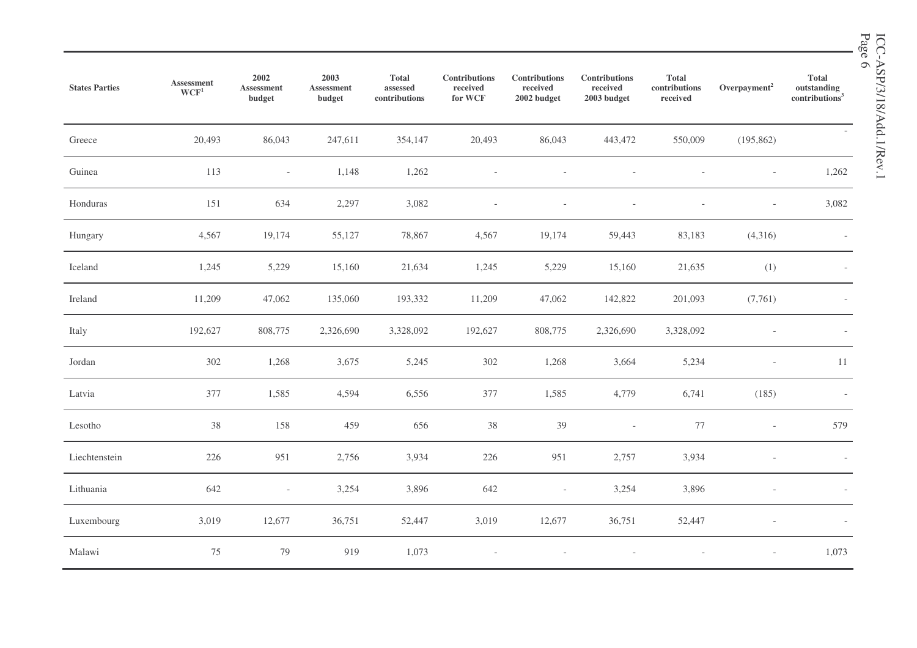**States** Parties Assessment 2002 2003 Total Contributions Contributions Total Total Total Total<br>Back assessment Assessment Assessment assessed received received received received contributions Overpayment<sup>2</sup> outstanding<br>Back budget budget Greece 20,493 86,043 247,611 354,147 20,493 86,043 443,472 550,009 (195,862) Guinea 1133 - 1,148 1,262 - - - - - - - - 1,262 Honduras 1511 634 2,297 3,082 - - - - - - - - - - 3,082 Hungary 4,567 19,174 55,127 78,867 4,567 19,174 59,443 83,183 (4,316) - Icelandd 1,245 5,229 15,160 21,634 1,245 5,229 15,160 21,635 (1) -Ireland 11,209 47,062 135,060 193,332 11,209 47,062 142,822 201,093 (7,761) - Italy 192,627 808,775 2,326,690 3,328,092 192,627 808,775 2,326,690 3,328,092 - - Jordann 302 1,268 3,675 5,245 302 1,268 3,564 5,234 - 11 Latvia 377 1,585 4,594 6,556 377 1,585 4,779 6,741 (185) - Lesotho 38 158 459 656 38 39 - 77 - 579 Liechtenstein 226 951 2,756 3,934 226 951 2,757 3,934 - - Lithuania 6422 - 3,254 3,896 642 - 3,254 3,896 - - -Luxembourg 3,019 12,677 36,751 52,447 3,019 12,677 36,751 52,447 - - Malawi 755 79 919 1,073 - - - - - - - - 1,073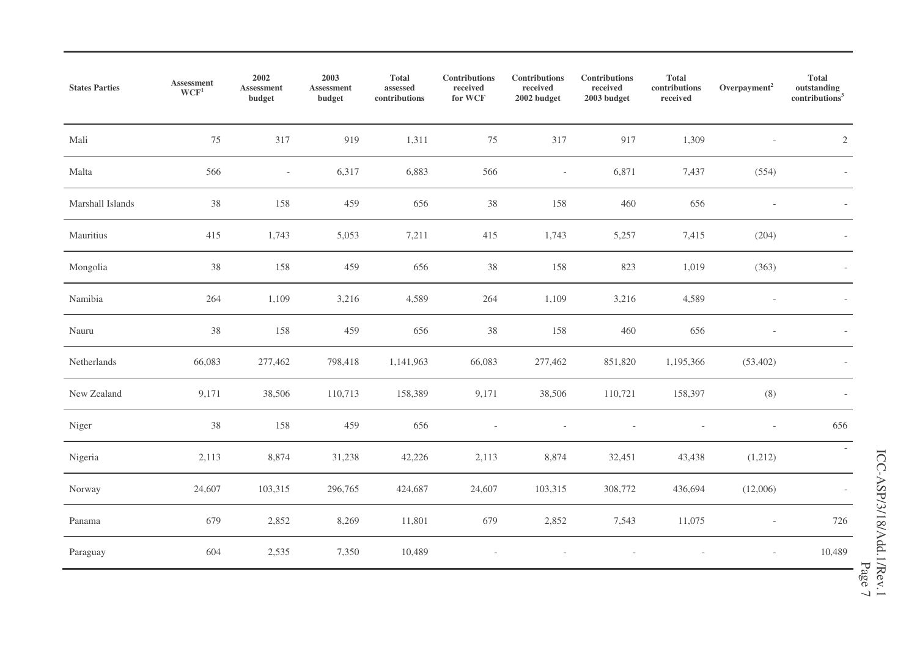| <b>States Parties</b> | <b>Assessment</b><br>WCF <sup>1</sup> | 2002<br><b>Assessment</b><br>budget | 2003<br><b>Assessment</b><br>budget | <b>Total</b><br>assessed<br>contributions | Contributions<br>received<br>for WCF | Contributions<br>received<br>2002 budget | Contributions<br>received<br>2003 budget | <b>Total</b><br>contributions<br>received | Overpayment <sup>2</sup> | <b>Total</b><br>outstanding<br>contributions <sup>3</sup> |
|-----------------------|---------------------------------------|-------------------------------------|-------------------------------------|-------------------------------------------|--------------------------------------|------------------------------------------|------------------------------------------|-------------------------------------------|--------------------------|-----------------------------------------------------------|
| Mali                  | 75                                    | 317                                 | 919                                 | 1,311                                     | 75                                   | 317                                      | 917                                      | 1,309                                     |                          | $\overline{2}$                                            |
| Malta                 | 566                                   | $\bar{\phantom{a}}$                 | 6,317                               | 6,883                                     | 566                                  | $\overline{\phantom{m}}$                 | 6,871                                    | 7,437                                     | (554)                    |                                                           |
| Marshall Islands      | $38\,$                                | 158                                 | 459                                 | 656                                       | 38                                   | 158                                      | 460                                      | 656                                       |                          |                                                           |
| Mauritius             | 415                                   | 1,743                               | 5,053                               | 7,211                                     | 415                                  | 1,743                                    | 5,257                                    | 7,415                                     | (204)                    |                                                           |
| Mongolia              | $38\,$                                | 158                                 | 459                                 | 656                                       | $38\,$                               | 158                                      | 823                                      | 1,019                                     | (363)                    |                                                           |
| Namibia               | 264                                   | 1,109                               | 3,216                               | 4,589                                     | 264                                  | 1,109                                    | 3,216                                    | 4,589                                     |                          |                                                           |
| Nauru                 | $38\,$                                | 158                                 | 459                                 | 656                                       | 38                                   | 158                                      | 460                                      | 656                                       |                          |                                                           |
| Netherlands           | 66,083                                | 277,462                             | 798,418                             | 1,141,963                                 | 66,083                               | 277,462                                  | 851,820                                  | 1,195,366                                 | (53, 402)                |                                                           |
| New Zealand           | 9,171                                 | 38,506                              | 110,713                             | 158,389                                   | 9,171                                | 38,506                                   | 110,721                                  | 158,397                                   | (8)                      |                                                           |
| Niger                 | 38                                    | 158                                 | 459                                 | 656                                       | $\overline{\phantom{a}}$             | $\overline{a}$                           | $\overline{a}$                           | $\overline{a}$                            |                          | 656                                                       |
| Nigeria               | 2,113                                 | 8,874                               | 31,238                              | 42,226                                    | 2,113                                | 8,874                                    | 32,451                                   | 43,438                                    | (1,212)                  | $\sim$                                                    |
| Norway                | 24,607                                | 103,315                             | 296,765                             | 424,687                                   | 24,607                               | 103,315                                  | 308,772                                  | 436,694                                   | (12,006)                 | $\overline{\phantom{a}}$                                  |
| Panama                | 679                                   | 2,852                               | 8,269                               | 11,801                                    | 679                                  | 2,852                                    | 7,543                                    | 11,075                                    |                          | 726                                                       |
| Paraguay              | 604                                   | 2,535                               | 7,350                               | 10,489                                    |                                      | $\overline{a}$                           | $\overline{\phantom{a}}$                 | $\overline{a}$                            | $\overline{\phantom{a}}$ | 10,489                                                    |

 $\overline{\phantom{0}}$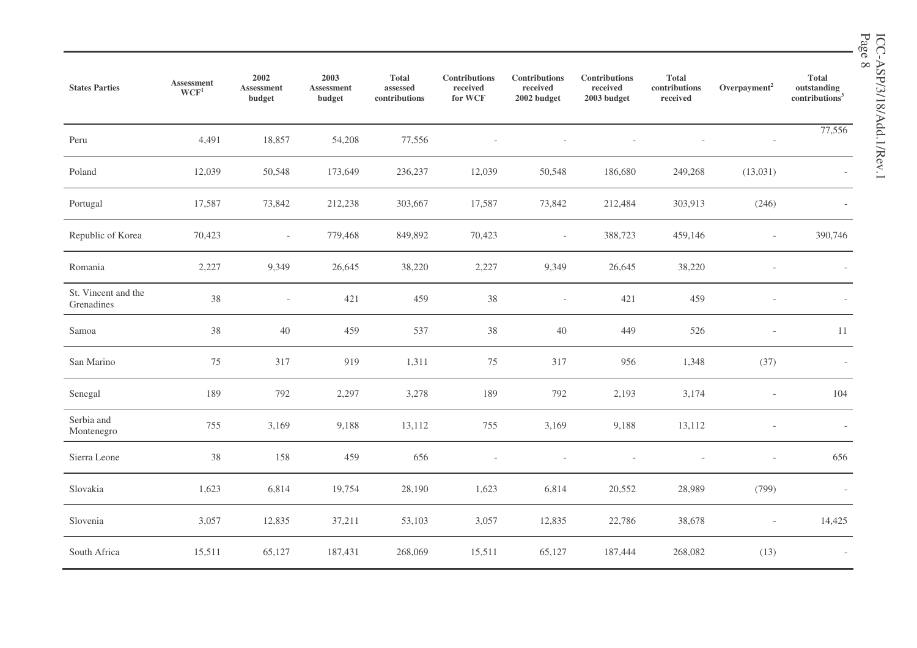**States** Parties Assessment 2002 2003 Total Contributions Contributions Total Total Total Total<br>Back assessment Assessment Assessment assessed received received received received contributions Overpayment<sup>2</sup> outstanding<br>Back budget budget Peru 4,491 18,857 54,208 77,556 - - - - - 77,556 Poland 12,039 50,548 173,649 236,237 12,039 50,548 186,680 249,268 (13,031) - Portugal 17,587 73,842 212,238 303,667 17,587 73,842 212,484 303,913 (246) - Republic of Korea 70,423 - 779,468 849,892 70,423 - 388,723 459,146 - 390,746 Romania 2,227 9,349 26,645 38,220 2,227 9,349 26,645 38,220 - - St. Vincent and the Grenadines $\frac{38}{18}$  - 421 459 38 - 421 459 - 421 459 - 421 459 - 5 Samoaa 38 40 459 537 38 40 449 526 - 11 San Marino Marino 75 317 919 1,311 75 317 956 1,348 (37) - Senegal 189 792 2,297 3,278 189 792 2,193 3,174 - 104 Serbia and Montenegro <sup>755</sup> 3,169 9,188 13,112 <sup>755</sup> 3,169 9,188 13,112 - - Sierra Leone 38 158 459 656 - - - - - 656 Slovakia 1,623 6,814 19,754 28,190 1,623 6,814 20,552 28,989 (799) - Slovenia 3,057 12,835 37,211 53,103 3,057 12,835 22,786 38,678 - 14,425 South Africa h Africa 15,511 65,127 187,431 268,069 15,511 65,127 187,444 268,082 (13) -

ICC-ASP/3/18/Add.1/Rev.1 Page  $\infty$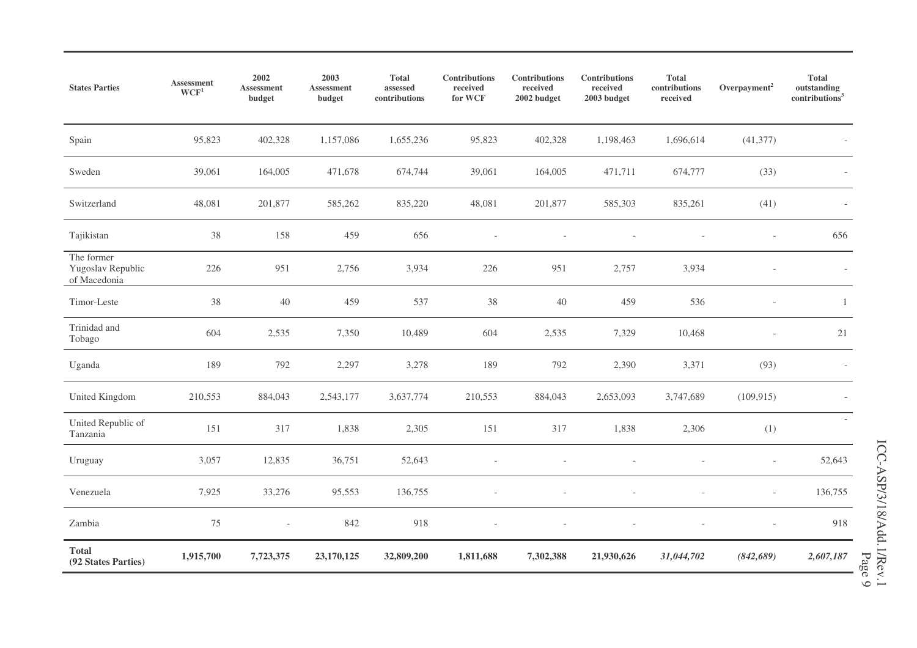| <b>States Parties</b>                           | <b>Assessment</b><br>WCF <sup>1</sup> | 2002<br><b>Assessment</b><br>budget | 2003<br><b>Assessment</b><br>budget | <b>Total</b><br>assessed<br>contributions | <b>Contributions</b><br>received<br>for WCF | <b>Contributions</b><br>received<br>2002 budget | <b>Contributions</b><br>received<br>2003 budget | <b>Total</b><br>contributions<br>received | Overpayment <sup>2</sup> | <b>Total</b><br>outstanding<br>contributions <sup>3</sup> |
|-------------------------------------------------|---------------------------------------|-------------------------------------|-------------------------------------|-------------------------------------------|---------------------------------------------|-------------------------------------------------|-------------------------------------------------|-------------------------------------------|--------------------------|-----------------------------------------------------------|
| Spain                                           | 95,823                                | 402,328                             | 1,157,086                           | 1,655,236                                 | 95,823                                      | 402,328                                         | 1,198,463                                       | 1,696,614                                 | (41, 377)                |                                                           |
| Sweden                                          | 39,061                                | 164,005                             | 471,678                             | 674,744                                   | 39,061                                      | 164,005                                         | 471,711                                         | 674,777                                   | (33)                     |                                                           |
| Switzerland                                     | 48,081                                | 201,877                             | 585,262                             | 835,220                                   | 48,081                                      | 201,877                                         | 585,303                                         | 835,261                                   | (41)                     |                                                           |
| Tajikistan                                      | 38                                    | 158                                 | 459                                 | 656                                       |                                             |                                                 |                                                 |                                           |                          | 656                                                       |
| The former<br>Yugoslav Republic<br>of Macedonia | 226                                   | 951                                 | 2,756                               | 3,934                                     | 226                                         | 951                                             | 2,757                                           | 3,934                                     |                          |                                                           |
| Timor-Leste                                     | 38                                    | 40                                  | 459                                 | 537                                       | 38                                          | 40                                              | 459                                             | 536                                       |                          | $\mathbf{1}$                                              |
| Trinidad and<br>Tobago                          | 604                                   | 2,535                               | 7,350                               | 10,489                                    | 604                                         | 2,535                                           | 7,329                                           | 10,468                                    |                          | 21                                                        |
| Uganda                                          | 189                                   | 792                                 | 2,297                               | 3,278                                     | 189                                         | 792                                             | 2,390                                           | 3,371                                     | (93)                     |                                                           |
| United Kingdom                                  | 210,553                               | 884,043                             | 2,543,177                           | 3,637,774                                 | 210,553                                     | 884,043                                         | 2,653,093                                       | 3,747,689                                 | (109, 915)               |                                                           |
| United Republic of<br>Tanzania                  | 151                                   | 317                                 | 1,838                               | 2,305                                     | 151                                         | 317                                             | 1,838                                           | 2,306                                     | (1)                      |                                                           |
| Uruguay                                         | 3,057                                 | 12,835                              | 36,751                              | 52,643                                    |                                             |                                                 |                                                 |                                           | $\overline{\phantom{a}}$ | 52,643                                                    |
| Venezuela                                       | 7,925                                 | 33,276                              | 95,553                              | 136,755                                   |                                             |                                                 |                                                 |                                           | $\overline{\phantom{a}}$ | 136,755                                                   |
| Zambia                                          | 75                                    | $\overline{\phantom{a}}$            | 842                                 | 918                                       |                                             |                                                 |                                                 |                                           |                          | 918                                                       |
| <b>Total</b><br>(92 States Parties)             | 1,915,700                             | 7,723,375                           | 23,170,125                          | 32,809,200                                | 1,811,688                                   | 7,302,388                                       | 21,930,626                                      | 31,044,702                                | (842, 689)               | 2,607,187                                                 |

ICC-ASP/3/18/Add.1/Rev.1 Page

 $\circ$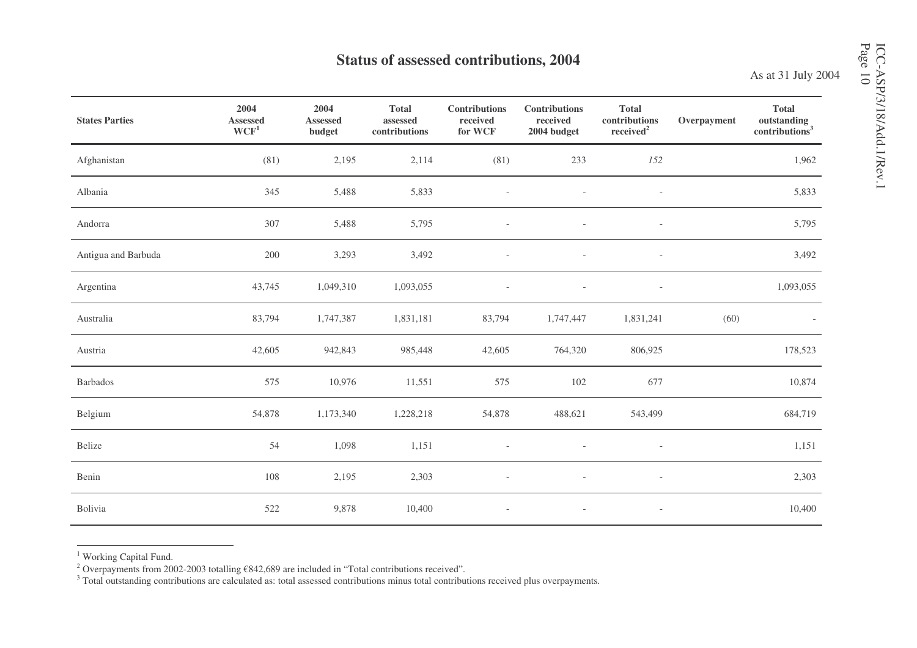# **Status of assessed contributions, 2004**

ICC-ASP/3/18/Add.1/Rev.1

Page

1 0

| <b>States Parties</b> | 2004<br>Assessed<br>$\mathbf{W}\mathbf{C}\mathbf{F}^1$ | 2004<br><b>Assessed</b><br>budget | <b>Total</b><br>assessed<br>contributions | <b>Contributions</b><br>received<br>for WCF | <b>Contributions</b><br>received<br>2004 budget | <b>Total</b><br>contributions<br>received <sup>2</sup> | Overpayment | <b>Total</b><br>outstanding<br>contributions <sup>3</sup> |
|-----------------------|--------------------------------------------------------|-----------------------------------|-------------------------------------------|---------------------------------------------|-------------------------------------------------|--------------------------------------------------------|-------------|-----------------------------------------------------------|
| Afghanistan           | (81)                                                   | 2,195                             | 2,114                                     | (81)                                        | 233                                             | 152                                                    |             | 1,962                                                     |
| Albania               | 345                                                    | 5,488                             | 5,833                                     | $\overline{\phantom{a}}$                    | $\overline{\phantom{0}}$                        | $\overline{\phantom{a}}$                               |             | 5,833                                                     |
| Andorra               | 307                                                    | 5,488                             | 5,795                                     |                                             |                                                 |                                                        |             | 5,795                                                     |
| Antigua and Barbuda   | 200                                                    | 3,293                             | 3,492                                     |                                             |                                                 |                                                        |             | 3,492                                                     |
| Argentina             | 43,745                                                 | 1,049,310                         | 1,093,055                                 |                                             |                                                 |                                                        |             | 1,093,055                                                 |
| Australia             | 83,794                                                 | 1,747,387                         | 1,831,181                                 | 83,794                                      | 1,747,447                                       | 1,831,241                                              | (60)        |                                                           |
| Austria               | 42,605                                                 | 942,843                           | 985,448                                   | 42,605                                      | 764,320                                         | 806,925                                                |             | 178,523                                                   |
| <b>Barbados</b>       | 575                                                    | 10,976                            | 11,551                                    | 575                                         | 102                                             | 677                                                    |             | 10,874                                                    |
| Belgium               | 54,878                                                 | 1,173,340                         | 1,228,218                                 | 54,878                                      | 488,621                                         | 543,499                                                |             | 684,719                                                   |
| Belize                | 54                                                     | 1,098                             | 1,151                                     |                                             |                                                 |                                                        |             | 1,151                                                     |
| Benin                 | 108                                                    | 2,195                             | 2,303                                     | $\overline{\phantom{a}}$                    |                                                 | $\overline{\phantom{a}}$                               |             | 2,303                                                     |
| Bolivia               | 522                                                    | 9,878                             | 10,400                                    | $\overline{\phantom{a}}$                    | $\overline{\phantom{a}}$                        | $\overline{\phantom{a}}$                               |             | 10,400                                                    |

<sup>&</sup>lt;sup>1</sup> Working Capital Fund.

 $^2$  Overpayments from 2002-2003 totalling €842,689 are included in "Total contributions received".<br><sup>3</sup> Total outstanding contributions are calculated as: total assessed contributions minus total contributions received pl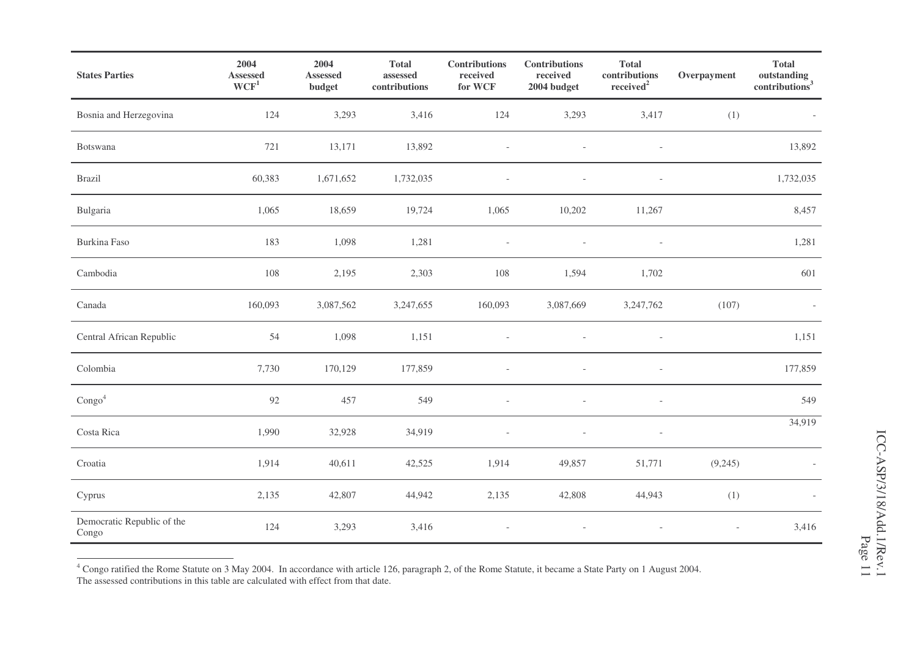| <b>States Parties</b>               | 2004<br>Assessed<br>WCF <sup>1</sup> | 2004<br>Assessed<br>budget | <b>Total</b><br>assessed<br>contributions | <b>Contributions</b><br>received<br>for WCF | <b>Contributions</b><br>received<br>2004 budget | <b>Total</b><br>contributions<br>received <sup>2</sup> | Overpayment | <b>Total</b><br>outstanding<br>contributions <sup>3</sup> |
|-------------------------------------|--------------------------------------|----------------------------|-------------------------------------------|---------------------------------------------|-------------------------------------------------|--------------------------------------------------------|-------------|-----------------------------------------------------------|
| Bosnia and Herzegovina              | 124                                  | 3,293                      | 3,416                                     | 124                                         | 3,293                                           | 3,417                                                  | (1)         |                                                           |
| Botswana                            | 721                                  | 13,171                     | 13,892                                    |                                             |                                                 | $\overline{a}$                                         |             | 13,892                                                    |
| <b>Brazil</b>                       | 60,383                               | 1,671,652                  | 1,732,035                                 |                                             |                                                 |                                                        |             | 1,732,035                                                 |
| Bulgaria                            | 1,065                                | 18,659                     | 19,724                                    | 1,065                                       | 10,202                                          | 11,267                                                 |             | 8,457                                                     |
| Burkina Faso                        | 183                                  | 1,098                      | 1,281                                     | $\overline{a}$                              |                                                 | $\overline{\phantom{a}}$                               |             | 1,281                                                     |
| Cambodia                            | $108\,$                              | 2,195                      | 2,303                                     | 108                                         | 1,594                                           | 1,702                                                  |             | 601                                                       |
| Canada                              | 160,093                              | 3,087,562                  | 3,247,655                                 | 160,093                                     | 3,087,669                                       | 3,247,762                                              | (107)       |                                                           |
| Central African Republic            | 54                                   | 1,098                      | 1,151                                     | $\overline{a}$                              |                                                 |                                                        |             | 1,151                                                     |
| Colombia                            | 7,730                                | 170,129                    | 177,859                                   |                                             |                                                 |                                                        |             | 177,859                                                   |
| Congo <sup>4</sup>                  | 92                                   | 457                        | 549                                       | $\overline{a}$                              |                                                 | $\overline{a}$                                         |             | 549                                                       |
| Costa Rica                          | 1,990                                | 32,928                     | 34,919                                    |                                             |                                                 | $\overline{a}$                                         |             | 34,919                                                    |
| Croatia                             | 1,914                                | 40,611                     | 42,525                                    | 1,914                                       | 49,857                                          | 51,771                                                 | (9,245)     |                                                           |
| Cyprus                              | 2,135                                | 42,807                     | 44,942                                    | 2,135                                       | 42,808                                          | 44,943                                                 | (1)         |                                                           |
| Democratic Republic of the<br>Congo | 124                                  | 3,293                      | 3,416                                     |                                             |                                                 |                                                        |             | 3,416                                                     |

<sup>&</sup>lt;sup>4</sup> Congo ratified the Rome Statute on 3 May 2004. In accordance with article 126, paragraph 2, of the Rome Statute, it became a State Party on 1 August 2004. The assessed contributions in this table are calculated with effect from that date.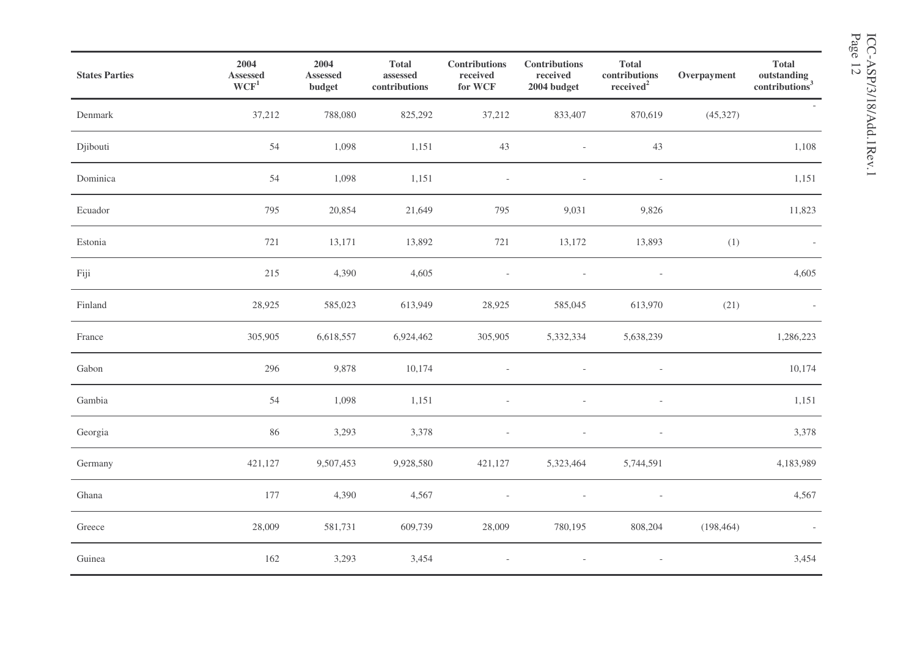| <b>States Parties</b> | 2004<br>$\bf Assessed$<br>WCF <sup>1</sup> | 2004<br>Assessed<br>budget | <b>Total</b><br>assessed<br>contributions | Contributions<br>received<br>for WCF | <b>Contributions</b><br>received<br>2004 budget | <b>Total</b><br>contributions<br>received <sup>2</sup> | Overpayment | <b>Total</b><br>outstanding<br>contributions $3$ |
|-----------------------|--------------------------------------------|----------------------------|-------------------------------------------|--------------------------------------|-------------------------------------------------|--------------------------------------------------------|-------------|--------------------------------------------------|
| Denmark               | 37,212                                     | 788,080                    | 825,292                                   | 37,212                               | 833,407                                         | 870,619                                                | (45, 327)   |                                                  |
| Djibouti              | 54                                         | 1,098                      | 1,151                                     | 43                                   | $\overline{a}$                                  | $43\,$                                                 |             | 1,108                                            |
| Dominica              | 54                                         | 1,098                      | 1,151                                     | ÷,                                   |                                                 | $\overline{\phantom{a}}$                               |             | 1,151                                            |
| Ecuador               | 795                                        | 20,854                     | 21,649                                    | 795                                  | 9,031                                           | 9,826                                                  |             | 11,823                                           |
| Estonia               | 721                                        | 13,171                     | 13,892                                    | 721                                  | 13,172                                          | 13,893                                                 | (1)         |                                                  |
| Fiji                  | 215                                        | 4,390                      | 4,605                                     | ÷,                                   |                                                 | $\overline{\phantom{a}}$                               |             | 4,605                                            |
| Finland               | 28,925                                     | 585,023                    | 613,949                                   | 28,925                               | 585,045                                         | 613,970                                                | (21)        |                                                  |
| France                | 305,905                                    | 6,618,557                  | 6,924,462                                 | 305,905                              | 5,332,334                                       | 5,638,239                                              |             | 1,286,223                                        |
| Gabon                 | 296                                        | 9,878                      | 10,174                                    | L.                                   |                                                 | $\sim$                                                 |             | 10,174                                           |
| Gambia                | 54                                         | 1,098                      | 1,151                                     | ٠                                    |                                                 | $\overline{\phantom{a}}$                               |             | 1,151                                            |
| Georgia               | 86                                         | 3,293                      | 3,378                                     | L.                                   |                                                 |                                                        |             | 3,378                                            |
| Germany               | 421,127                                    | 9,507,453                  | 9,928,580                                 | 421,127                              | 5,323,464                                       | 5,744,591                                              |             | 4,183,989                                        |
| Ghana                 | 177                                        | 4,390                      | 4,567                                     |                                      | $\overline{\phantom{a}}$                        | $\overline{\phantom{m}}$                               |             | 4,567                                            |
| Greece                | 28,009                                     | 581,731                    | 609,739                                   | 28,009                               | 780,195                                         | 808,204                                                | (198, 464)  |                                                  |
| Guinea                | 162                                        | 3,293                      | 3,454                                     |                                      |                                                 |                                                        |             | 3,454                                            |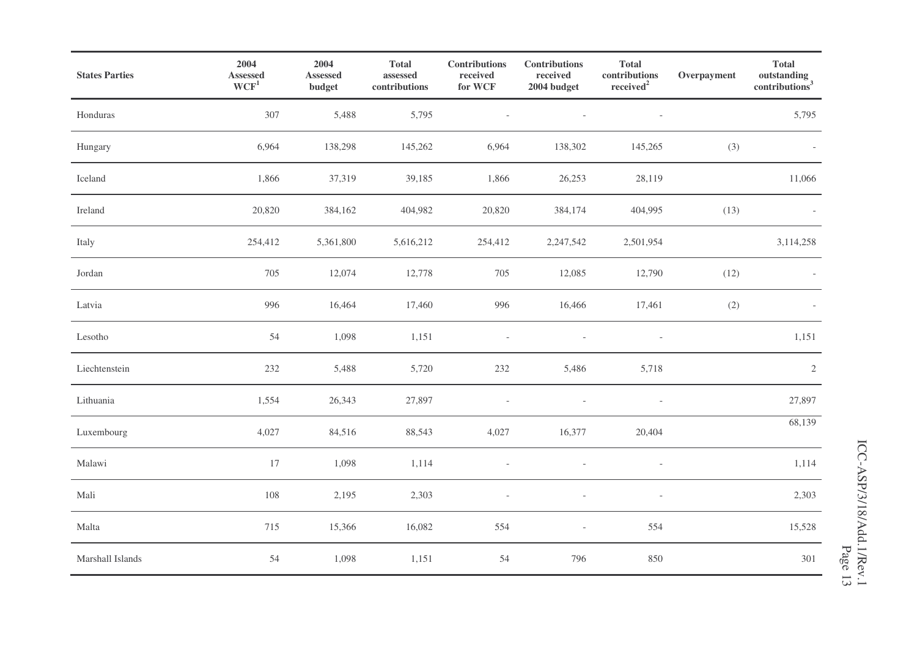| <b>States Parties</b> | 2004<br>Assessed<br>$\mathbf{W}\mathbf{C}\mathbf{F}^1$ | 2004<br><b>Assessed</b><br>budget | <b>Total</b><br>assessed<br>contributions | <b>Contributions</b><br>received<br>for WCF | <b>Contributions</b><br>received<br>2004 budget | <b>Total</b><br>contributions<br>received <sup>2</sup> | Overpayment | <b>Total</b><br>outstanding<br>contributions <sup>3</sup> |
|-----------------------|--------------------------------------------------------|-----------------------------------|-------------------------------------------|---------------------------------------------|-------------------------------------------------|--------------------------------------------------------|-------------|-----------------------------------------------------------|
| Honduras              | 307                                                    | 5,488                             | 5,795                                     | $\overline{\phantom{a}}$                    | $\overline{\phantom{a}}$                        |                                                        |             | 5,795                                                     |
| Hungary               | 6,964                                                  | 138,298                           | 145,262                                   | 6,964                                       | 138,302                                         | 145,265                                                | (3)         |                                                           |
| Iceland               | 1,866                                                  | 37,319                            | 39,185                                    | 1,866                                       | 26,253                                          | 28,119                                                 |             | 11,066                                                    |
| Ireland               | 20,820                                                 | 384,162                           | 404,982                                   | 20,820                                      | 384,174                                         | 404,995                                                | (13)        |                                                           |
| Italy                 | 254,412                                                | 5,361,800                         | 5,616,212                                 | 254,412                                     | 2,247,542                                       | 2,501,954                                              |             | 3,114,258                                                 |
| Jordan                | $705\,$                                                | 12,074                            | 12,778                                    | 705                                         | 12,085                                          | 12,790                                                 | (12)        |                                                           |
| Latvia                | 996                                                    | 16,464                            | 17,460                                    | 996                                         | 16,466                                          | 17,461                                                 | (2)         |                                                           |
| Lesotho               | 54                                                     | 1,098                             | 1,151                                     |                                             |                                                 | $\overline{\phantom{0}}$                               |             | 1,151                                                     |
| Liechtenstein         | 232                                                    | 5,488                             | 5,720                                     | 232                                         | 5,486                                           | 5,718                                                  |             | $\mathbf{2}$                                              |
| Lithuania             | 1,554                                                  | 26,343                            | 27,897                                    |                                             |                                                 | $\overline{\phantom{a}}$                               |             | 27,897                                                    |
| Luxembourg            | 4,027                                                  | 84,516                            | 88,543                                    | 4,027                                       | 16,377                                          | 20,404                                                 |             | 68,139                                                    |
| Malawi                | $17\,$                                                 | 1,098                             | 1,114                                     |                                             |                                                 | $\overline{a}$                                         |             | 1,114                                                     |
| Mali                  | 108                                                    | 2,195                             | 2,303                                     |                                             |                                                 | $\overline{\phantom{0}}$                               |             | 2,303                                                     |
| Malta                 | 715                                                    | 15,366                            | 16,082                                    | 554                                         |                                                 | 554                                                    |             | 15,528                                                    |
| Marshall Islands      | 54                                                     | 1,098                             | 1,151                                     | 54                                          | 796                                             | 850                                                    |             | 301                                                       |

ICC-ASP/3/18/Add.1/Rev.1 Page 1 3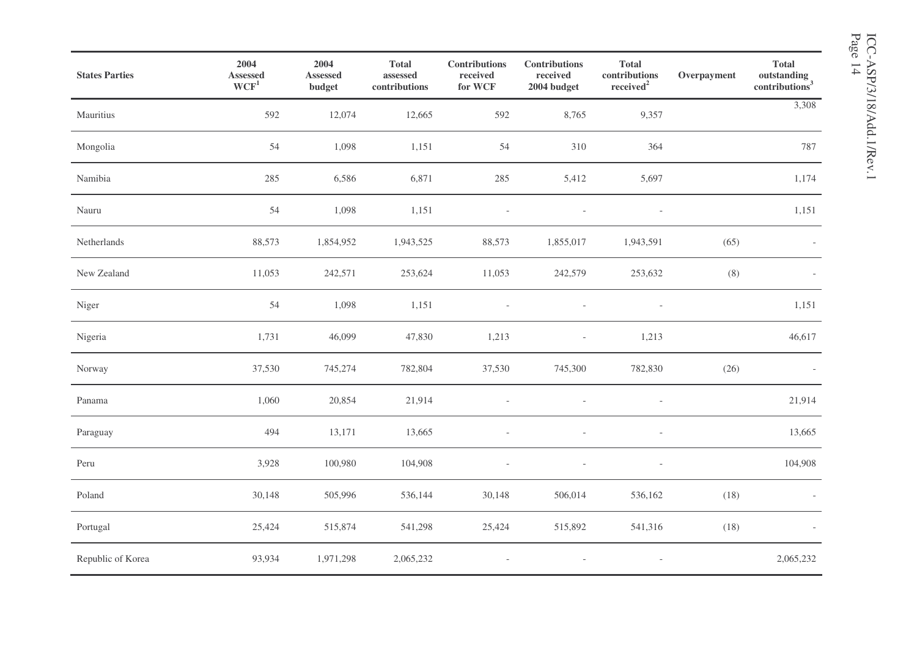| <b>States Parties</b> | 2004<br>Assessed<br>WCF <sup>1</sup> | 2004<br>Assessed<br>budget | <b>Total</b><br>assessed<br>contributions | Contributions<br>received<br>for WCF | <b>Contributions</b><br>received<br>2004 budget | <b>Total</b><br>contributions<br>received <sup>2</sup> | Overpayment | <b>Total</b><br>outstanding<br>contributions <sup>3</sup> |
|-----------------------|--------------------------------------|----------------------------|-------------------------------------------|--------------------------------------|-------------------------------------------------|--------------------------------------------------------|-------------|-----------------------------------------------------------|
| Mauritius             | 592                                  | 12,074                     | 12,665                                    | 592                                  | 8,765                                           | 9,357                                                  |             | 3,308                                                     |
| Mongolia              | 54                                   | 1,098                      | 1,151                                     | 54                                   | 310                                             | 364                                                    |             | 787                                                       |
| Namibia               | 285                                  | 6,586                      | 6,871                                     | 285                                  | 5,412                                           | 5,697                                                  |             | 1,174                                                     |
| Nauru                 | 54                                   | 1,098                      | 1,151                                     | $\overline{\phantom{a}}$             | $\overline{\phantom{0}}$                        | $\sim$                                                 |             | 1,151                                                     |
| Netherlands           | 88,573                               | 1,854,952                  | 1,943,525                                 | 88,573                               | 1,855,017                                       | 1,943,591                                              | (65)        |                                                           |
| New Zealand           | 11,053                               | 242,571                    | 253,624                                   | 11,053                               | 242,579                                         | 253,632                                                | (8)         |                                                           |
| Niger                 | 54                                   | 1,098                      | 1,151                                     | $\overline{\phantom{a}}$             | $\overline{a}$                                  | $\overline{\phantom{a}}$                               |             | 1,151                                                     |
| Nigeria               | 1,731                                | 46,099                     | 47,830                                    | 1,213                                | $\overline{\phantom{0}}$                        | 1,213                                                  |             | 46,617                                                    |
| Norway                | 37,530                               | 745,274                    | 782,804                                   | 37,530                               | 745,300                                         | 782,830                                                | (26)        |                                                           |
| Panama                | 1,060                                | 20,854                     | 21,914                                    |                                      |                                                 |                                                        |             | 21,914                                                    |
| Paraguay              | 494                                  | 13,171                     | 13,665                                    | $\overline{a}$                       |                                                 | $\overline{a}$                                         |             | 13,665                                                    |
| Peru                  | 3,928                                | 100,980                    | 104,908                                   |                                      |                                                 |                                                        |             | 104,908                                                   |
| Poland                | 30,148                               | 505,996                    | 536,144                                   | 30,148                               | 506,014                                         | 536,162                                                | (18)        |                                                           |
| Portugal              | 25,424                               | 515,874                    | 541,298                                   | 25,424                               | 515,892                                         | 541,316                                                | (18)        |                                                           |
| Republic of Korea     | 93,934                               | 1,971,298                  | 2,065,232                                 |                                      |                                                 |                                                        |             | 2,065,232                                                 |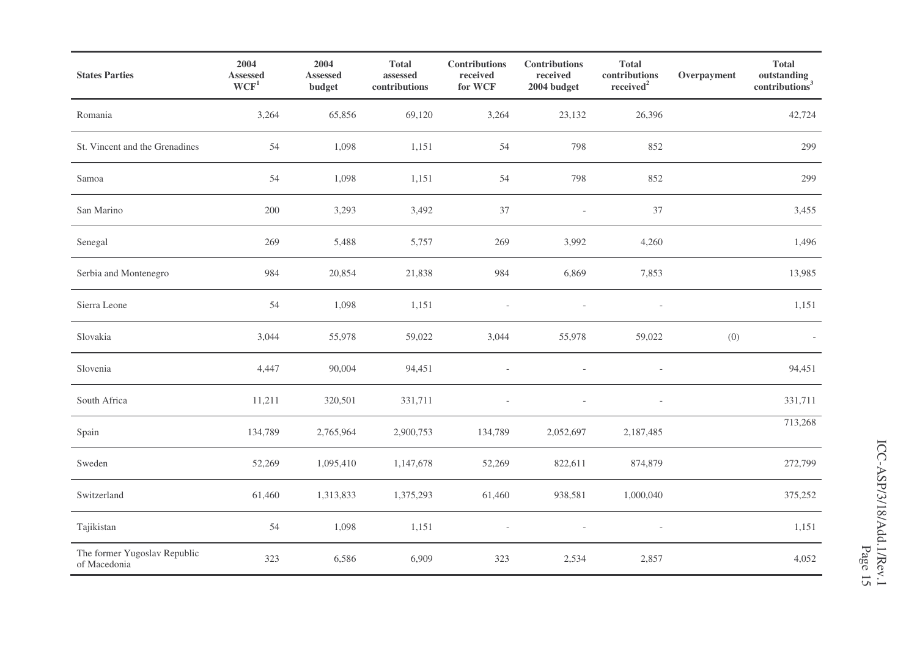| <b>States Parties</b>                        | 2004<br>Assessed<br>WCF <sup>1</sup> | 2004<br><b>Assessed</b><br>budget | <b>Total</b><br>assessed<br>contributions | <b>Contributions</b><br>received<br>for WCF | <b>Contributions</b><br>received<br>2004 budget | <b>Total</b><br>contributions<br>received <sup>2</sup> | Overpayment | <b>Total</b><br>outstanding<br>contributions <sup>3</sup> |
|----------------------------------------------|--------------------------------------|-----------------------------------|-------------------------------------------|---------------------------------------------|-------------------------------------------------|--------------------------------------------------------|-------------|-----------------------------------------------------------|
| Romania                                      | 3,264                                | 65,856                            | 69,120                                    | 3,264                                       | 23,132                                          | 26,396                                                 |             | 42,724                                                    |
| St. Vincent and the Grenadines               | 54                                   | 1,098                             | 1,151                                     | 54                                          | 798                                             | 852                                                    |             | 299                                                       |
| Samoa                                        | 54                                   | 1,098                             | 1,151                                     | 54                                          | 798                                             | 852                                                    |             | 299                                                       |
| San Marino                                   | 200                                  | 3,293                             | 3,492                                     | 37                                          |                                                 | 37                                                     |             | 3,455                                                     |
| Senegal                                      | 269                                  | 5,488                             | 5,757                                     | 269                                         | 3,992                                           | 4,260                                                  |             | 1,496                                                     |
| Serbia and Montenegro                        | 984                                  | 20,854                            | 21,838                                    | 984                                         | 6,869                                           | 7,853                                                  |             | 13,985                                                    |
| Sierra Leone                                 | 54                                   | 1,098                             | 1,151                                     |                                             |                                                 |                                                        |             | 1,151                                                     |
| Slovakia                                     | 3,044                                | 55,978                            | 59,022                                    | 3,044                                       | 55,978                                          | 59,022                                                 | (0)         |                                                           |
| Slovenia                                     | 4,447                                | 90,004                            | 94,451                                    |                                             |                                                 |                                                        |             | 94,451                                                    |
| South Africa                                 | 11,211                               | 320,501                           | 331,711                                   |                                             |                                                 |                                                        |             | 331,711                                                   |
| Spain                                        | 134,789                              | 2,765,964                         | 2,900,753                                 | 134,789                                     | 2,052,697                                       | 2,187,485                                              |             | 713,268                                                   |
| Sweden                                       | 52,269                               | 1,095,410                         | 1,147,678                                 | 52,269                                      | 822,611                                         | 874,879                                                |             | 272,799                                                   |
| Switzerland                                  | 61,460                               | 1,313,833                         | 1,375,293                                 | 61,460                                      | 938,581                                         | 1,000,040                                              |             | 375,252                                                   |
| Tajikistan                                   | 54                                   | 1,098                             | 1,151                                     |                                             |                                                 |                                                        |             | 1,151                                                     |
| The former Yugoslav Republic<br>of Macedonia | 323                                  | 6,586                             | 6,909                                     | 323                                         | 2,534                                           | 2,857                                                  |             | 4,052                                                     |